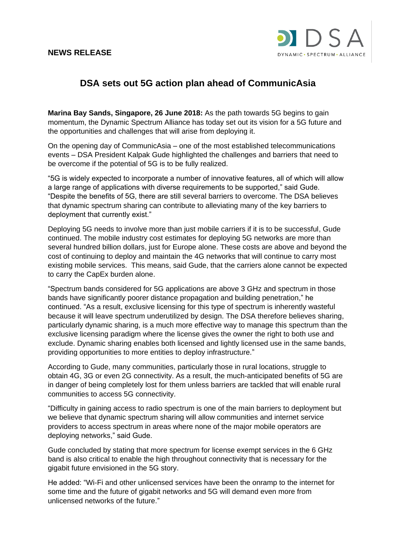## **NEWS RELEASE**



## **DSA sets out 5G action plan ahead of CommunicAsia**

**Marina Bay Sands, Singapore, 26 June 2018:** As the path towards 5G begins to gain momentum, the Dynamic Spectrum Alliance has today set out its vision for a 5G future and the opportunities and challenges that will arise from deploying it.

On the opening day of CommunicAsia – one of the most established telecommunications events – DSA President Kalpak Gude highlighted the challenges and barriers that need to be overcome if the potential of 5G is to be fully realized.

"5G is widely expected to incorporate a number of innovative features, all of which will allow a large range of applications with diverse requirements to be supported," said Gude. "Despite the benefits of 5G, there are still several barriers to overcome. The DSA believes that dynamic spectrum sharing can contribute to alleviating many of the key barriers to deployment that currently exist."

Deploying 5G needs to involve more than just mobile carriers if it is to be successful, Gude continued. The mobile industry cost estimates for deploying 5G networks are more than several hundred billion dollars, just for Europe alone. These costs are above and beyond the cost of continuing to deploy and maintain the 4G networks that will continue to carry most existing mobile services. This means, said Gude, that the carriers alone cannot be expected to carry the CapEx burden alone.

"Spectrum bands considered for 5G applications are above 3 GHz and spectrum in those bands have significantly poorer distance propagation and building penetration," he continued. "As a result, exclusive licensing for this type of spectrum is inherently wasteful because it will leave spectrum underutilized by design. The DSA therefore believes sharing, particularly dynamic sharing, is a much more effective way to manage this spectrum than the exclusive licensing paradigm where the license gives the owner the right to both use and exclude. Dynamic sharing enables both licensed and lightly licensed use in the same bands, providing opportunities to more entities to deploy infrastructure."

According to Gude, many communities, particularly those in rural locations, struggle to obtain 4G, 3G or even 2G connectivity. As a result, the much-anticipated benefits of 5G are in danger of being completely lost for them unless barriers are tackled that will enable rural communities to access 5G connectivity.

"Difficulty in gaining access to radio spectrum is one of the main barriers to deployment but we believe that dynamic spectrum sharing will allow communities and internet service providers to access spectrum in areas where none of the major mobile operators are deploying networks," said Gude.

Gude concluded by stating that more spectrum for license exempt services in the 6 GHz band is also critical to enable the high throughout connectivity that is necessary for the gigabit future envisioned in the 5G story.

He added: "Wi-Fi and other unlicensed services have been the onramp to the internet for some time and the future of gigabit networks and 5G will demand even more from unlicensed networks of the future."